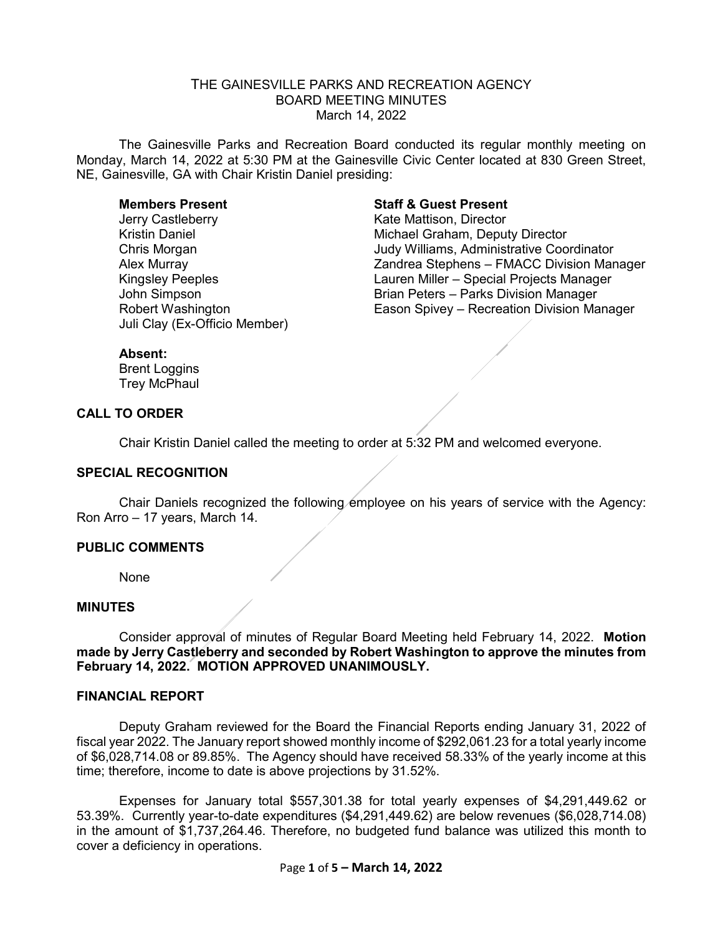# THE GAINESVILLE PARKS AND RECREATION AGENCY BOARD MEETING MINUTES March 14, 2022

The Gainesville Parks and Recreation Board conducted its regular monthly meeting on Monday, March 14, 2022 at 5:30 PM at the Gainesville Civic Center located at 830 Green Street, NE, Gainesville, GA with Chair Kristin Daniel presiding:

**Members Present**<br> **Staff & Guest Present**<br> **Staff & Guest Present**<br> **Staff & Guest Present**<br> **Staff & Guest Present** Jerry Castleberry Kate Mattison, Director Juli Clay (Ex-Officio Member)

Kristin Daniel Michael Graham, Deputy Director<br>Chris Morgan Michael Graham, Deputy Director<br>Judy Williams, Administrative Coo Judy Williams, Administrative Coordinator Alex Murray Zandrea Stephens – FMACC Division Manager Kingsley Peeples Lauren Miller – Special Projects Manager Brian Peters – Parks Division Manager Robert Washington Eason Spivey – Recreation Division Manager

# **Absent:**

Brent Loggins Trey McPhaul

# **CALL TO ORDER**

Chair Kristin Daniel called the meeting to order at 5:32 PM and welcomed everyone.

### **SPECIAL RECOGNITION**

Chair Daniels recognized the following employee on his years of service with the Agency: Ron Arro – 17 years, March 14.

#### **PUBLIC COMMENTS**

None

### **MINUTES**

Consider approval of minutes of Regular Board Meeting held February 14, 2022. **Motion made by Jerry Castleberry and seconded by Robert Washington to approve the minutes from February 14, 2022. MOTION APPROVED UNANIMOUSLY.**

# **FINANCIAL REPORT**

Deputy Graham reviewed for the Board the Financial Reports ending January 31, 2022 of fiscal year 2022. The January report showed monthly income of \$292,061.23 for a total yearly income of \$6,028,714.08 or 89.85%. The Agency should have received 58.33% of the yearly income at this time; therefore, income to date is above projections by 31.52%.

Expenses for January total \$557,301.38 for total yearly expenses of \$4,291,449.62 or 53.39%. Currently year-to-date expenditures (\$4,291,449.62) are below revenues (\$6,028,714.08) in the amount of \$1,737,264.46. Therefore, no budgeted fund balance was utilized this month to cover a deficiency in operations.

Page **1** of **5 – March 14, 2022**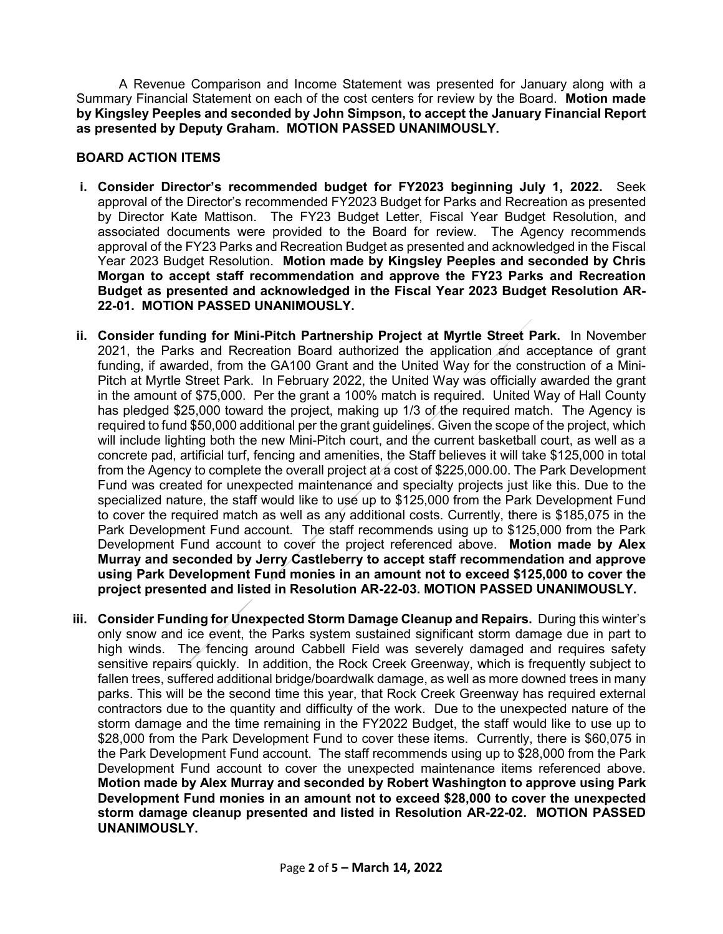A Revenue Comparison and Income Statement was presented for January along with a Summary Financial Statement on each of the cost centers for review by the Board. **Motion made by Kingsley Peeples and seconded by John Simpson, to accept the January Financial Report as presented by Deputy Graham. MOTION PASSED UNANIMOUSLY.** 

# **BOARD ACTION ITEMS**

- **i. Consider Director's recommended budget for FY2023 beginning July 1, 2022.** Seek approval of the Director's recommended FY2023 Budget for Parks and Recreation as presented by Director Kate Mattison. The FY23 Budget Letter, Fiscal Year Budget Resolution, and associated documents were provided to the Board for review. The Agency recommends approval of the FY23 Parks and Recreation Budget as presented and acknowledged in the Fiscal Year 2023 Budget Resolution. **Motion made by Kingsley Peeples and seconded by Chris Morgan to accept staff recommendation and approve the FY23 Parks and Recreation Budget as presented and acknowledged in the Fiscal Year 2023 Budget Resolution AR-22-01. MOTION PASSED UNANIMOUSLY.**
- **ii. Consider funding for Mini-Pitch Partnership Project at Myrtle Street Park.** In November 2021, the Parks and Recreation Board authorized the application and acceptance of grant funding, if awarded, from the GA100 Grant and the United Way for the construction of a Mini-Pitch at Myrtle Street Park. In February 2022, the United Way was officially awarded the grant in the amount of \$75,000. Per the grant a 100% match is required. United Way of Hall County has pledged \$25,000 toward the project, making up 1/3 of the required match. The Agency is required to fund \$50,000 additional per the grant guidelines. Given the scope of the project, which will include lighting both the new Mini-Pitch court, and the current basketball court, as well as a concrete pad, artificial turf, fencing and amenities, the Staff believes it will take \$125,000 in total from the Agency to complete the overall project at a cost of \$225,000.00. The Park Development Fund was created for unexpected maintenance and specialty projects just like this. Due to the specialized nature, the staff would like to use up to \$125,000 from the Park Development Fund to cover the required match as well as any additional costs. Currently, there is \$185,075 in the Park Development Fund account. The staff recommends using up to \$125,000 from the Park Development Fund account to cover the project referenced above. **Motion made by Alex Murray and seconded by Jerry Castleberry to accept staff recommendation and approve using Park Development Fund monies in an amount not to exceed \$125,000 to cover the project presented and listed in Resolution AR-22-03. MOTION PASSED UNANIMOUSLY.**
- **iii. Consider Funding for Unexpected Storm Damage Cleanup and Repairs.** During this winter's only snow and ice event, the Parks system sustained significant storm damage due in part to high winds. The fencing around Cabbell Field was severely damaged and requires safety sensitive repairs quickly. In addition, the Rock Creek Greenway, which is frequently subject to fallen trees, suffered additional bridge/boardwalk damage, as well as more downed trees in many parks. This will be the second time this year, that Rock Creek Greenway has required external contractors due to the quantity and difficulty of the work. Due to the unexpected nature of the storm damage and the time remaining in the FY2022 Budget, the staff would like to use up to \$28,000 from the Park Development Fund to cover these items. Currently, there is \$60,075 in the Park Development Fund account. The staff recommends using up to \$28,000 from the Park Development Fund account to cover the unexpected maintenance items referenced above. **Motion made by Alex Murray and seconded by Robert Washington to approve using Park Development Fund monies in an amount not to exceed \$28,000 to cover the unexpected storm damage cleanup presented and listed in Resolution AR-22-02. MOTION PASSED UNANIMOUSLY.**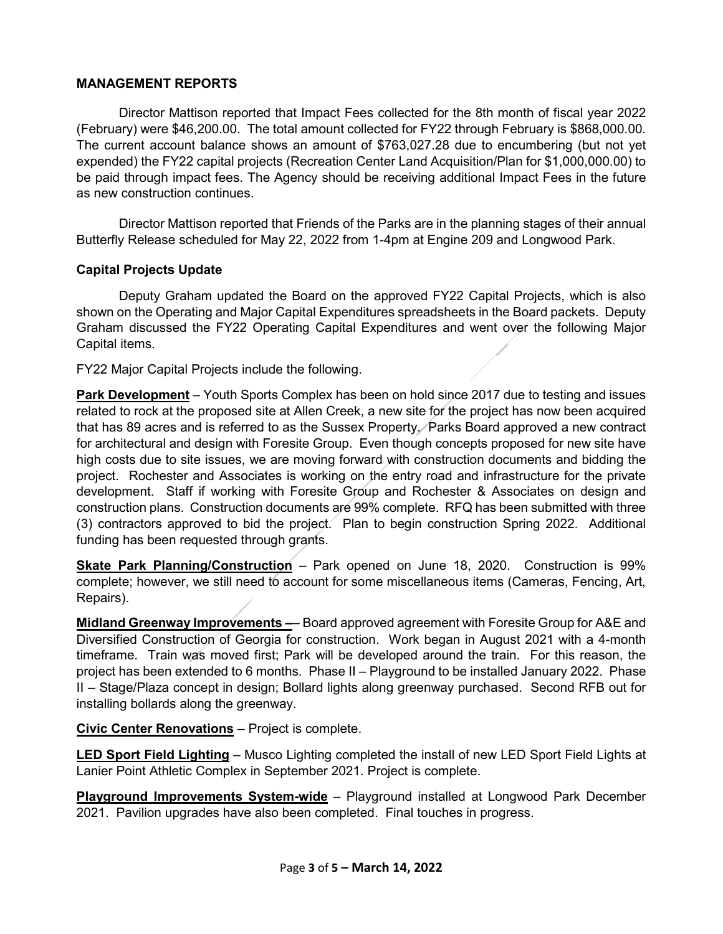# **MANAGEMENT REPORTS**

Director Mattison reported that Impact Fees collected for the 8th month of fiscal year 2022 (February) were \$46,200.00. The total amount collected for FY22 through February is \$868,000.00. The current account balance shows an amount of \$763,027.28 due to encumbering (but not yet expended) the FY22 capital projects (Recreation Center Land Acquisition/Plan for \$1,000,000.00) to be paid through impact fees. The Agency should be receiving additional Impact Fees in the future as new construction continues.

Director Mattison reported that Friends of the Parks are in the planning stages of their annual Butterfly Release scheduled for May 22, 2022 from 1-4pm at Engine 209 and Longwood Park.

# **Capital Projects Update**

Deputy Graham updated the Board on the approved FY22 Capital Projects, which is also shown on the Operating and Major Capital Expenditures spreadsheets in the Board packets. Deputy Graham discussed the FY22 Operating Capital Expenditures and went over the following Major Capital items.

FY22 Major Capital Projects include the following.

**Park Development** – Youth Sports Complex has been on hold since 2017 due to testing and issues related to rock at the proposed site at Allen Creek, a new site for the project has now been acquired that has 89 acres and is referred to as the Sussex Property. Parks Board approved a new contract for architectural and design with Foresite Group. Even though concepts proposed for new site have high costs due to site issues, we are moving forward with construction documents and bidding the project. Rochester and Associates is working on the entry road and infrastructure for the private development. Staff if working with Foresite Group and Rochester & Associates on design and construction plans. Construction documents are 99% complete. RFQ has been submitted with three (3) contractors approved to bid the project. Plan to begin construction Spring 2022. Additional funding has been requested through grants.

**Skate Park Planning/Construction** – Park opened on June 18, 2020. Construction is 99% complete; however, we still need to account for some miscellaneous items (Cameras, Fencing, Art, Repairs).

**Midland Greenway Improvements –**– Board approved agreement with Foresite Group for A&E and Diversified Construction of Georgia for construction. Work began in August 2021 with a 4-month timeframe. Train was moved first; Park will be developed around the train. For this reason, the project has been extended to 6 months. Phase II – Playground to be installed January 2022. Phase II – Stage/Plaza concept in design; Bollard lights along greenway purchased. Second RFB out for installing bollards along the greenway.

**Civic Center Renovations** – Project is complete.

**LED Sport Field Lighting** – Musco Lighting completed the install of new LED Sport Field Lights at Lanier Point Athletic Complex in September 2021. Project is complete.

**Playground Improvements System-wide** – Playground installed at Longwood Park December 2021. Pavilion upgrades have also been completed. Final touches in progress.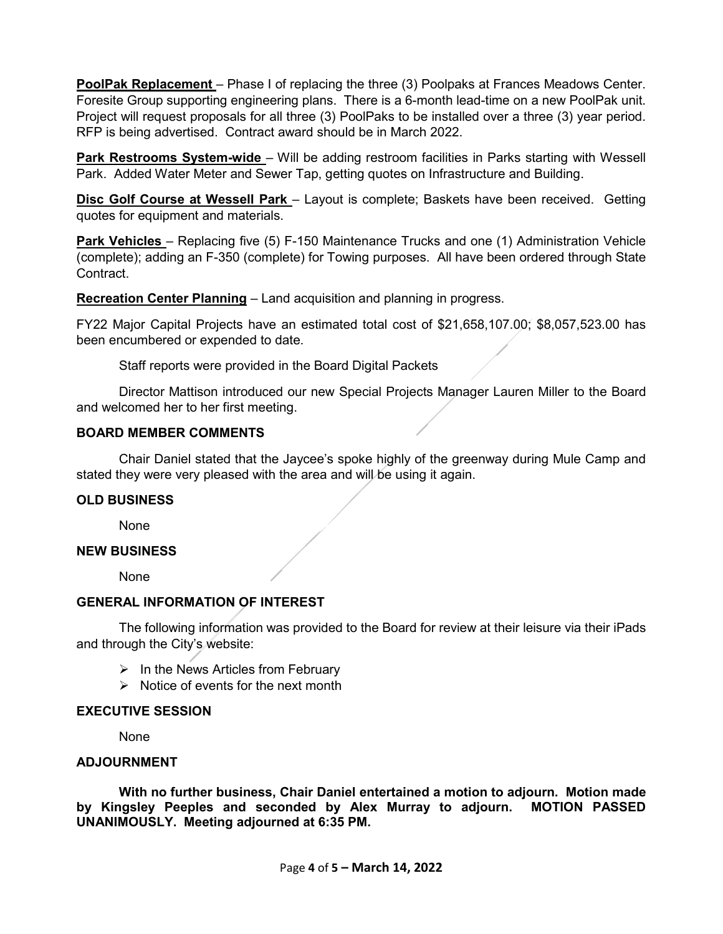**PoolPak Replacement** – Phase I of replacing the three (3) Poolpaks at Frances Meadows Center. Foresite Group supporting engineering plans. There is a 6-month lead-time on a new PoolPak unit. Project will request proposals for all three (3) PoolPaks to be installed over a three (3) year period. RFP is being advertised. Contract award should be in March 2022.

**Park Restrooms System-wide** – Will be adding restroom facilities in Parks starting with Wessell Park. Added Water Meter and Sewer Tap, getting quotes on Infrastructure and Building.

**Disc Golf Course at Wessell Park** – Layout is complete; Baskets have been received. Getting quotes for equipment and materials.

**Park Vehicles** – Replacing five (5) F-150 Maintenance Trucks and one (1) Administration Vehicle (complete); adding an F-350 (complete) for Towing purposes. All have been ordered through State Contract.

**Recreation Center Planning** – Land acquisition and planning in progress.

FY22 Major Capital Projects have an estimated total cost of \$21,658,107.00; \$8,057,523.00 has been encumbered or expended to date.

Staff reports were provided in the Board Digital Packets

Director Mattison introduced our new Special Projects Manager Lauren Miller to the Board and welcomed her to her first meeting.

# **BOARD MEMBER COMMENTS**

Chair Daniel stated that the Jaycee's spoke highly of the greenway during Mule Camp and stated they were very pleased with the area and will be using it again.

# **OLD BUSINESS**

None

# **NEW BUSINESS**

None

# **GENERAL INFORMATION OF INTEREST**

The following information was provided to the Board for review at their leisure via their iPads and through the City's website:

- $\triangleright$  In the News Articles from February
- $\triangleright$  Notice of events for the next month

# **EXECUTIVE SESSION**

None

# **ADJOURNMENT**

**With no further business, Chair Daniel entertained a motion to adjourn. Motion made by Kingsley Peeples and seconded by Alex Murray to adjourn. MOTION PASSED UNANIMOUSLY. Meeting adjourned at 6:35 PM.**